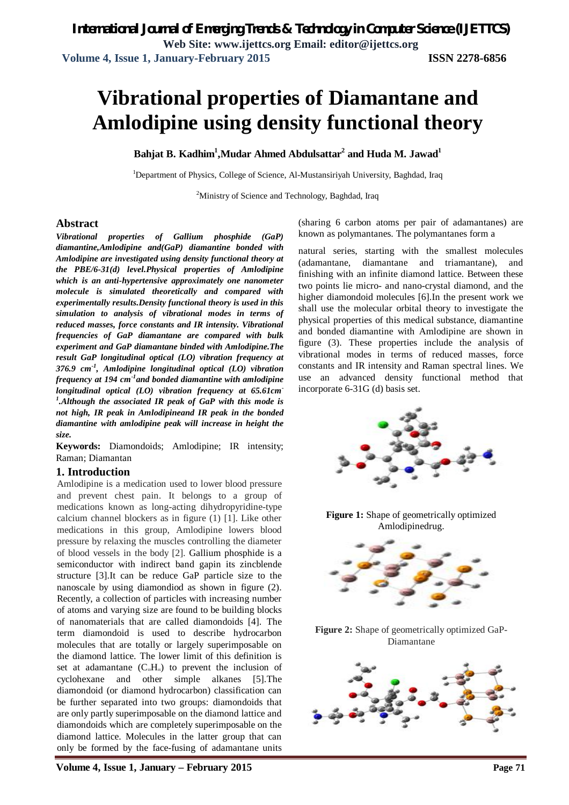# **Vibrational properties of Diamantane and Amlodipine using density functional theory**

**Bahjat B. Kadhim<sup>1</sup> ,Mudar Ahmed Abdulsattar<sup>2</sup> and Huda M. Jawad<sup>1</sup>**

<sup>1</sup>Department of Physics, College of Science, Al-Mustansiriyah University, Baghdad, Iraq

<sup>2</sup>Ministry of Science and Technology, Baghdad, Iraq

## **Abstract**

*Vibrational properties of Gallium phosphide (GaP) diamantine,Amlodipine and(GaP) diamantine bonded with Amlodipine are investigated using density functional theory at the PBE/6-31(d) level.Physical properties of Amlodipine which is an anti-hypertensive approximately one nanometer molecule is simulated theoretically and compared with experimentally results.Density functional theory is used in this simulation to analysis of vibrational modes in terms of reduced masses, force constants and IR intensity. Vibrational frequencies of GaP diamantane are compared with bulk experiment and GaP diamantane binded with Amlodipine.The result GaP longitudinal optical (LO) vibration frequency at 376.9 cm-1 , Amlodipine longitudinal optical (LO) vibration frequency at 194 cm-1 and bonded diamantine with amlodipine longitudinal optical (LO) vibration frequency at 65.61cm-1 .Although the associated IR peak of GaP with this mode is not high, IR peak in Amlodipineand IR peak in the bonded diamantine with amlodipine peak will increase in height the size.*

**Keywords:** Diamondoids; Amlodipine; IR intensity; Raman; Diamantan

### **1. Introduction**

Amlodipine is a medication used to lower blood pressure and prevent chest pain. It belongs to a group of medications known as long-acting dihydropyridine-type calcium channel blockers as in figure (1) [1]. Like other medications in this group, Amlodipine lowers blood pressure by relaxing the muscles controlling the diameter of blood vessels in the body [2]. Gallium phosphide is a semiconductor with indirect band gapin its zincblende structure [3].It can be reduce GaP particle size to the nanoscale by using diamondiod as shown in figure (2). Recently, a collection of particles with increasing number of atoms and varying size are found to be building blocks of nanomaterials that are called diamondoids [4]. The term diamondoid is used to describe hydrocarbon molecules that are totally or largely superimposable on the diamond lattice. The lower limit of this definition is set at adamantane  $(C_{10}H_{16})$  to prevent the inclusion of cyclohexane and other simple alkanes [5].The diamondoid (or diamond hydrocarbon) classification can be further separated into two groups: diamondoids that are only partly superimposable on the diamond lattice and diamondoids which are completely superimposable on the diamond lattice. Molecules in the latter group that can only be formed by the face-fusing of adamantane units (sharing 6 carbon atoms per pair of adamantanes) are known as polymantanes. The polymantanes form a

natural series, starting with the smallest molecules (adamantane, diamantane and triamantane), and finishing with an infinite diamond lattice. Between these two points lie micro- and nano-crystal diamond, and the higher diamondoid molecules [6].In the present work we shall use the molecular orbital theory to investigate the physical properties of this medical substance, diamantine and bonded diamantine with Amlodipine are shown in figure (3). These properties include the analysis of vibrational modes in terms of reduced masses, force constants and IR intensity and Raman spectral lines. We use an advanced density functional method that incorporate 6-31G (d) basis set.



**Figure 1:** Shape of geometrically optimized Amlodipinedrug.



**Figure 2:** Shape of geometrically optimized GaP-Diamantane

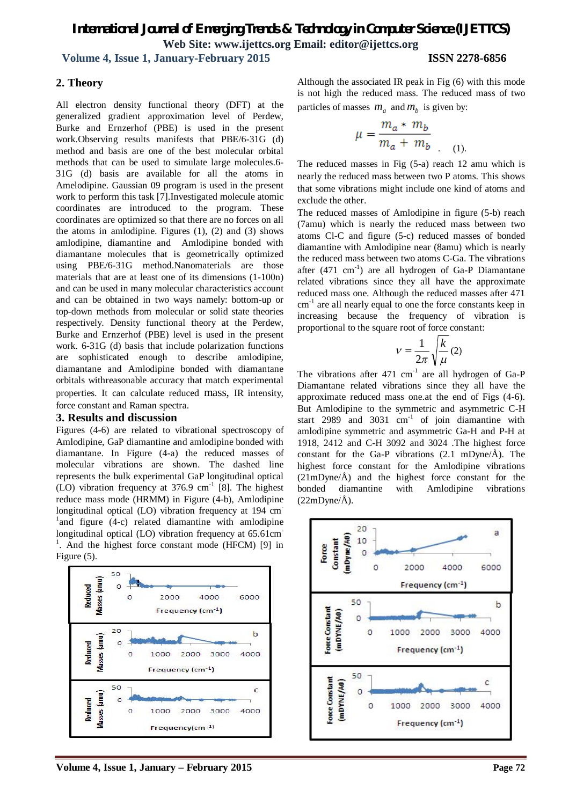## *International Journal of Emerging Trends & Technology in Computer Science (IJETTCS)* **Web Site: www.ijettcs.org Email: editor@ijettcs.org**

 **Volume 4, Issue 1, January-February 2015 ISSN 2278-6856**

## **2. Theory**

All electron density functional theory (DFT) at the generalized gradient approximation level of Perdew, Burke and Ernzerhof (PBE) is used in the present work.Observing results manifests that PBE/6-31G (d) method and basis are one of the best molecular orbital methods that can be used to simulate large molecules.6- 31G (d) basis are available for all the atoms in Amelodipine. Gaussian 09 program is used in the present work to perform this task [7].Investigated molecule atomic coordinates are introduced to the program. These coordinates are optimized so that there are no forces on all the atoms in amlodipine. Figures  $(1)$ ,  $(2)$  and  $(3)$  shows amlodipine, diamantine and Amlodipine bonded with diamantane molecules that is geometrically optimized using PBE/6-31G method.Nanomaterials are those materials that are at least one of its dimensions (1-100n) and can be used in many molecular characteristics account and can be obtained in two ways namely: bottom-up or top-down methods from molecular or solid state theories respectively. Density functional theory at the Perdew, Burke and Ernzerhof (PBE) level is used in the present work. 6-31G (d) basis that include polarization functions are sophisticated enough to describe amlodipine, diamantane and Amlodipine bonded with diamantane orbitals withreasonable accuracy that match experimental properties. It can calculate reduced mass, IR intensity, force constant and Raman spectra.

### **3. Results and discussion**

Figures (4-6) are related to vibrational spectroscopy of Amlodipine, GaP diamantine and amlodipine bonded with diamantane. In Figure (4-a) the reduced masses of molecular vibrations are shown. The dashed line represents the bulk experimental GaP longitudinal optical (LO) vibration frequency at  $376.9 \text{ cm}^{-1}$  [8]. The highest reduce mass mode (HRMM) in Figure (4-b), Amlodipine longitudinal optical (LO) vibration frequency at 194 cm<sup>-</sup>  $\mu$ <sup>1</sup> and figure (4-c) related diamantine with amlodipine longitudinal optical (LO) vibration frequency at 65.61cm <sup>1</sup>. And the highest force constant mode (HFCM) [9] in Figure (5).



Although the associated IR peak in Fig (6) with this mode is not high the reduced mass. The reduced mass of two particles of masses  $m_a$  and  $m_b$  is given by:

$$
\mu = \frac{m_a * m_b}{m_a + m_b}
$$
 (1).

The reduced masses in Fig (5-a) reach 12 amu which is nearly the reduced mass between two P atoms. This shows that some vibrations might include one kind of atoms and exclude the other.

The reduced masses of Amlodipine in figure (5-b) reach (7amu) which is nearly the reduced mass between two atoms Cl-C and figure (5-c) reduced masses of bonded diamantine with Amlodipine near (8amu) which is nearly the reduced mass between two atoms C-Ga. The vibrations after  $(471 \text{ cm}^{-1})$  are all hydrogen of Ga-P Diamantane related vibrations since they all have the approximate reduced mass one. Although the reduced masses after 471 cm<sup>-1</sup> are all nearly equal to one the force constants keep in increasing because the frequency of vibration is proportional to the square root of force constant:

$$
v = \frac{1}{2\pi} \sqrt{\frac{k}{\mu}} (2)
$$

The vibrations after  $471 \text{ cm}^{-1}$  are all hydrogen of Ga-P Diamantane related vibrations since they all have the approximate reduced mass one.at the end of Figs (4-6). But Amlodipine to the symmetric and asymmetric C-H start 2989 and 3031  $cm^{-1}$  of join diamantine with amlodipine symmetric and asymmetric Ga-H and P-H at 1918, 2412 and C-H 3092 and 3024 .The highest force constant for the Ga-P vibrations  $(2.1 \text{ mDyne/Å})$ . The highest force constant for the Amlodipine vibrations  $(21mDvne/\text{\AA})$  and the highest force constant for the bonded diamantine with Amlodipine vibrations  $(22mDyne/Å)$ .

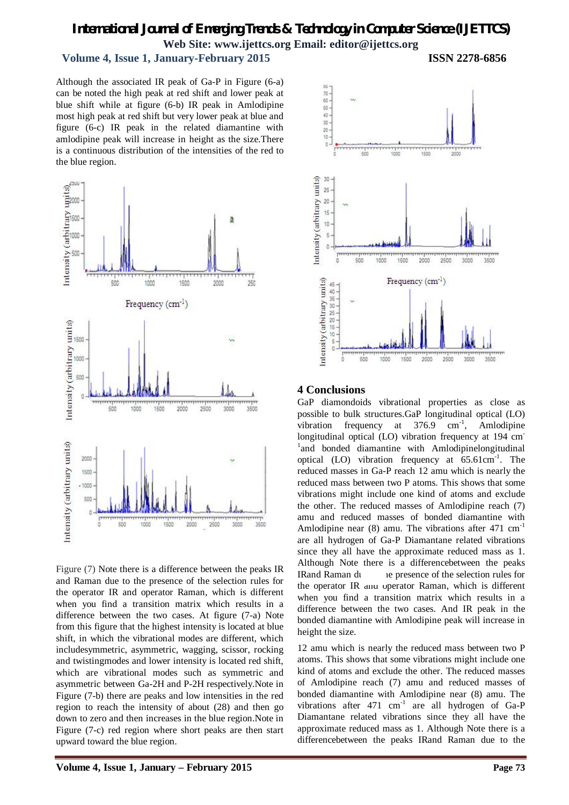## *International Journal of Emerging Trends & Technology in Computer Science (IJETTCS)* **Web Site: www.ijettcs.org Email: editor@ijettcs.org**

## **Volume 4, Issue 1, January-February 2015 ISSN 2278-6856**

Although the associated IR peak of Ga-P in Figure (6-a) can be noted the high peak at red shift and lower peak at blue shift while at figure (6-b) IR peak in Amlodipine most high peak at red shift but very lower peak at blue and figure (6-c) IR peak in the related diamantine with amlodipine peak will increase in height as the size.There is a continuous distribution of the intensities of the red to the blue region.



Figure (7) Note there is a difference between the peaks IR and Raman due to the presence of the selection rules for the operator IR and operator Raman, which is different when you find a transition matrix which results in a difference between the two cases. At figure (7-a) Note from this figure that the highest intensity is located at blue shift, in which the vibrational modes are different, which includesymmetric, asymmetric, wagging, scissor, rocking and twistingmodes and lower intensity is located red shift, which are vibrational modes such as symmetric and asymmetric between Ga-2H and P-2H respectively.Note in Figure (7-b) there are peaks and low intensities in the red region to reach the intensity of about (28) and then go down to zero and then increases in the blue region.Note in Figure (7-c) red region where short peaks are then start upward toward the blue region.



## **4 Conclusions**

GaP diamondoids vibrational properties as close as possible to bulk structures.GaP longitudinal optical (LO) vibration frequency at  $376.9$  cm<sup>-1</sup>, Amlodipine longitudinal optical (LO) vibration frequency at 194 cm <sup>1</sup>and bonded diamantine with Amlodipinelongitudinal optical  $(LO)$  vibration frequency at  $65.61 \text{cm}^{-1}$ . The reduced masses in Ga-P reach 12 amu which is nearly the reduced mass between two P atoms. This shows that some vibrations might include one kind of atoms and exclude the other. The reduced masses of Amlodipine reach (7) amu and reduced masses of bonded diamantine with Amlodipine near (8) amu. The vibrations after  $471 \text{ cm}^{-1}$ are all hydrogen of Ga-P Diamantane related vibrations since they all have the approximate reduced mass as 1. Although Note there is a differencebetween the peaks IRand Raman due to the selection rules for the operator IR and operator Raman, which is different when you find a transition matrix which results in a difference between the two cases. And IR peak in the bonded diamantine with Amlodipine peak will increase in height the size.

12 amu which is nearly the reduced mass between two P atoms. This shows that some vibrations might include one kind of atoms and exclude the other. The reduced masses of Amlodipine reach (7) amu and reduced masses of bonded diamantine with Amlodipine near (8) amu. The vibrations after  $471 \text{ cm}^{-1}$  are all hydrogen of Ga-P Diamantane related vibrations since they all have the approximate reduced mass as 1. Although Note there is a differencebetween the peaks IRand Raman due to the